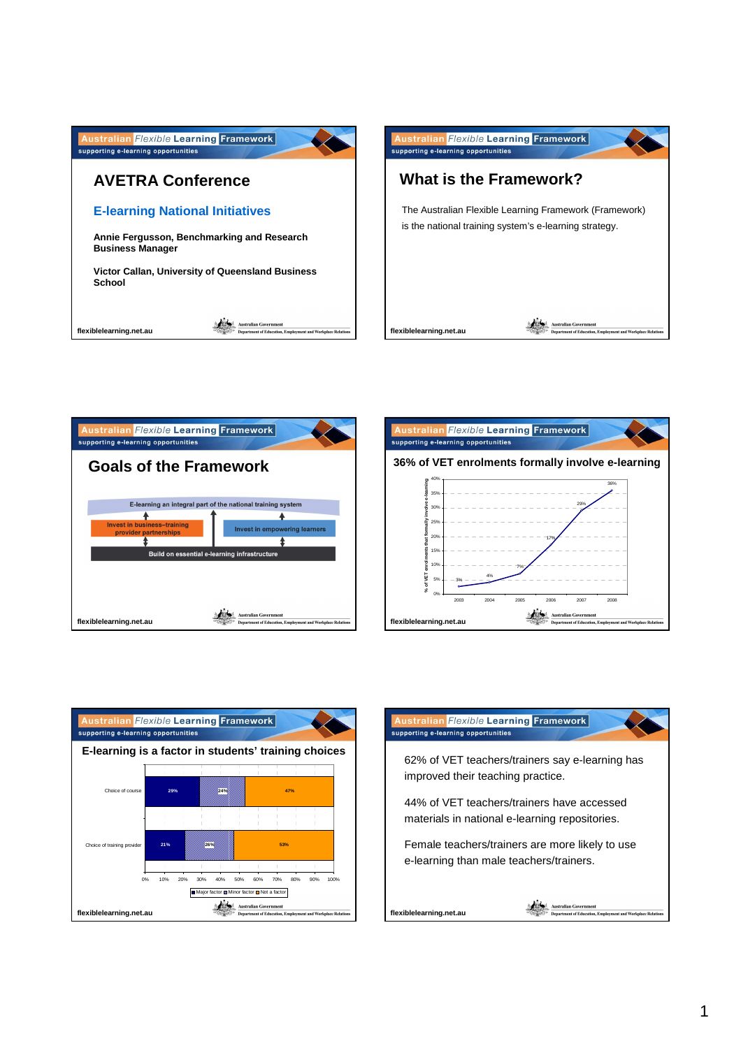







## n Flexible Learning Framework supporting e-learning opportunities

62% of VET teachers/trainers say e-learning has improved their teaching practice.

44% of VET teachers/trainers have accessed materials in national e-learning repositories.

Female teachers/trainers are more likely to use e-learning than male teachers/trainers.

**flexiblelearning.net.au**

Australian Go ve<mark>rnment</mark><br>Education, Emplo tent and Workplace Relat at of Ed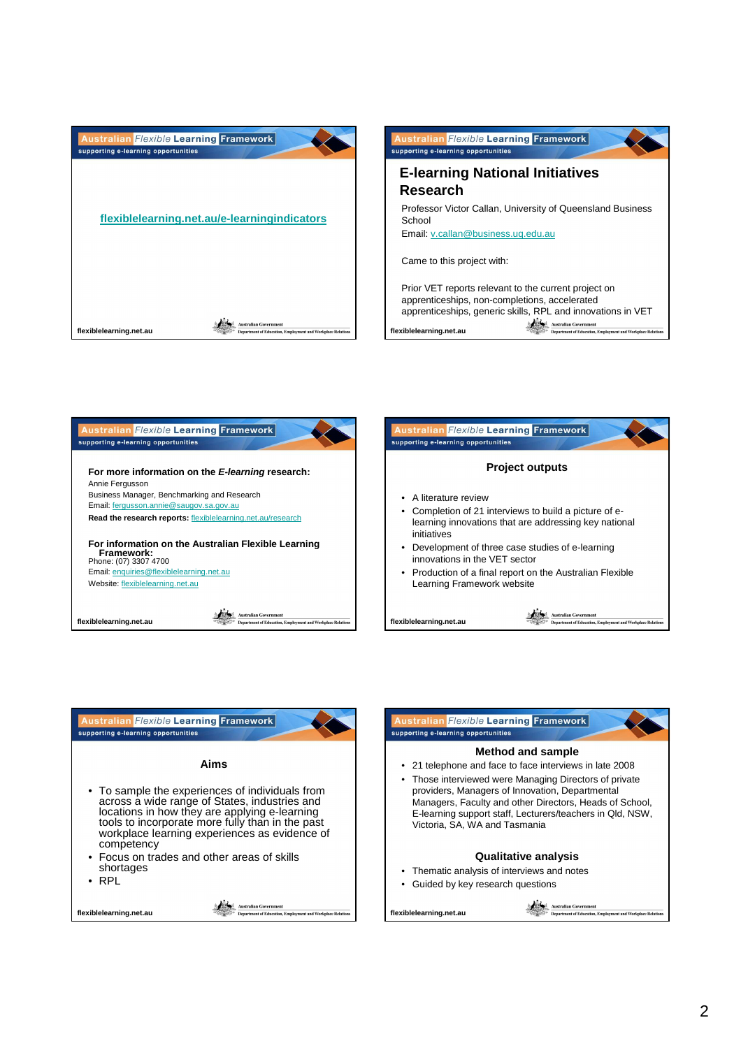





**Qualitative analysis**

- Thematic analysis of interviews and notes
- Guided by key research questions

Australian Government<br>
States Australian Government<br>
States Department of Education, Employment and Workplace Relation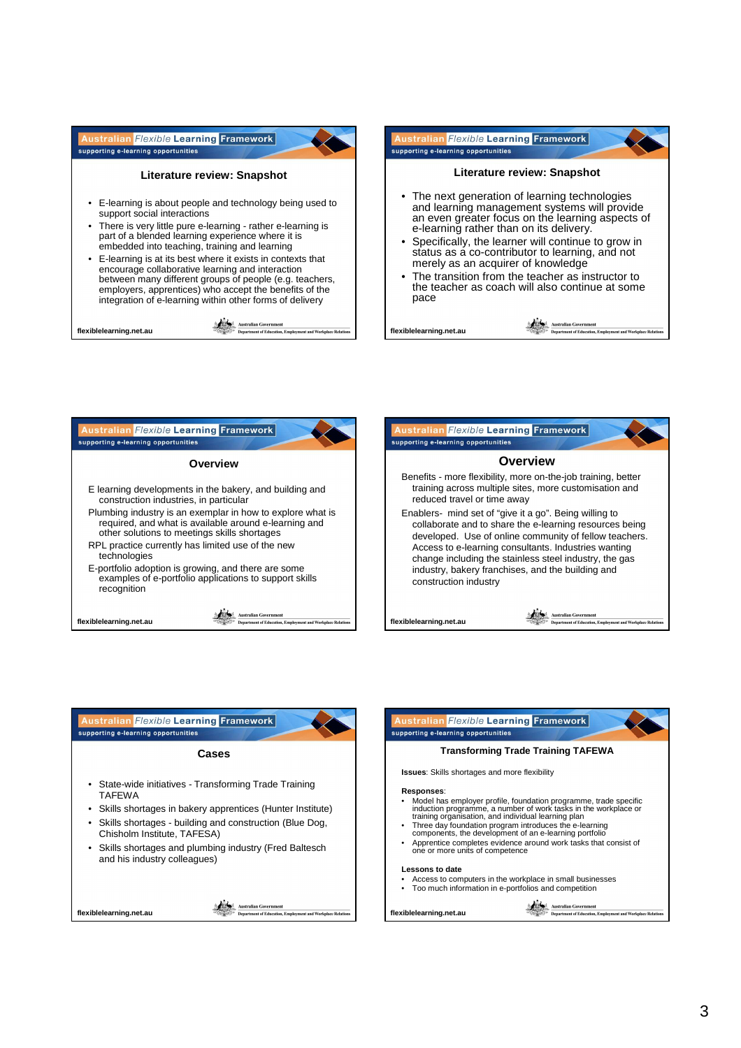







- Access to computers in the workplace in small businesses
- Too much information in e-portfolios and competition

**Australian Government**<br> **Constitution Convertion**<br> **Constitution**<br> **Constitution**<br> **Constitution**<br> **Constitution**<br> **Constitution**<br> **Constitution**<br> **Constitution**<br> **Constitution**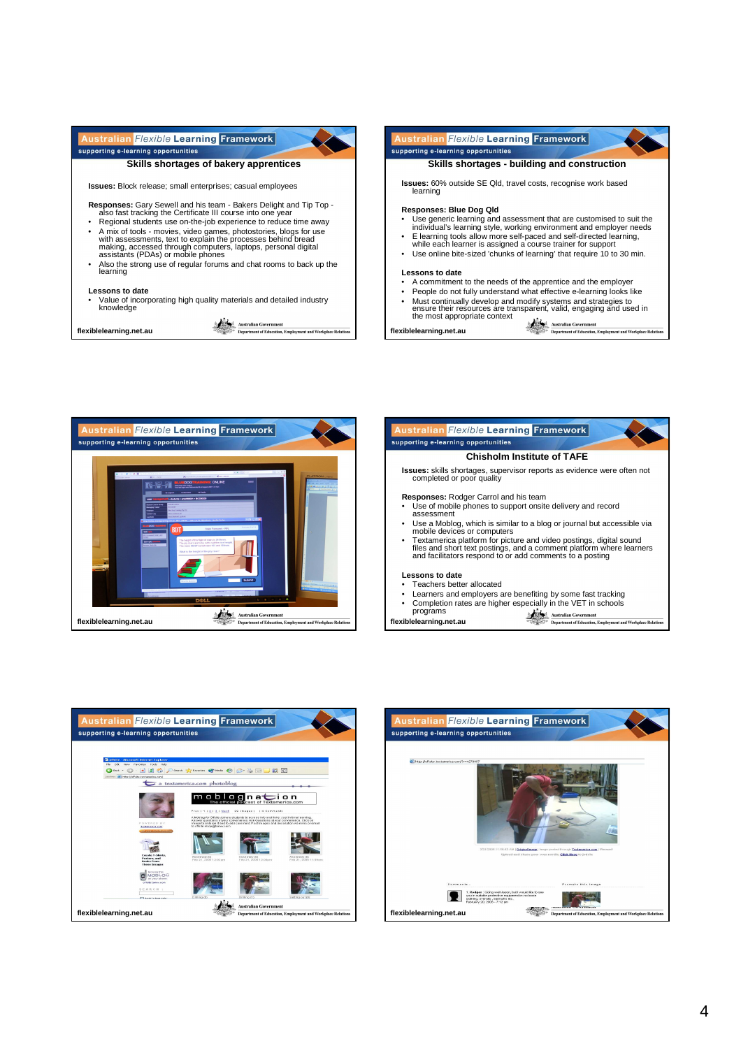



ralian Flexible Learning Framework supporting e-learning opportunities **Chisholm Institute of TAFE Issues:** skills shortages, supervisor reports as evidence were often not completed or poor quality **Responses:** Rodger Carrol and his team • Use of mobile phones to support onsite delivery and record assessment • Use a Moblog, which is similar to a blog or journal but accessible via mobile devices or computers • Textamerica platform for picture and video postings, digital sound files and short text postings, and a comment platform where learners and facilitators respond to or add comments to a posting **Lessons to date** • Teachers better allocated<br>
Learners and employers are benefiting by some fast tracking • Learners and employers are benefiting by some fast tracking<br>• Completion rates are higher especially in the VET in schools<br>• programs Australian Government<br>
Senator Reportment of Education, Emp nt and Workplace Relati